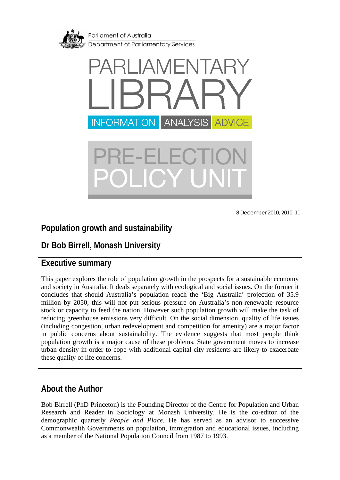<span id="page-0-0"></span>



8 December 2010, 2010–11

# **Population growth and sustainability**

# **Dr Bob Birrell, Monash University**

## **Executive summary**

This paper explores the role of population growth in the prospects for a sustainable economy and society in Australia. It deals separately with ecological and social issues. On the former it concludes that should Australia's population reach the 'Big Australia' projection of 35.9 million by 2050, this will not put serious pressure on Australia's non-renewable resource stock or capacity to feed the nation. However such population growth will make the task of reducing greenhouse emissions very difficult. On the social dimension, quality of life issues (including congestion, urban redevelopment and competition for amenity) are a major factor in public concerns about sustainability. The evidence suggests that most people think population growth is a major cause of these problems. State government moves to increase urban density in order to cope with additional capital city residents are likely to exacerbate these quality of life concerns.

## **About the Author**

Bob Birrell (PhD Princeton) is the Founding Director of the Centre for Population and Urban Research and Reader in Sociology at Monash University. He is the co-editor of the demographic quarterly *People and Place*. He has served as an advisor to successive Commonwealth Governments on population, immigration and educational issues, including as a member of the National Population Council from 1987 to 1993.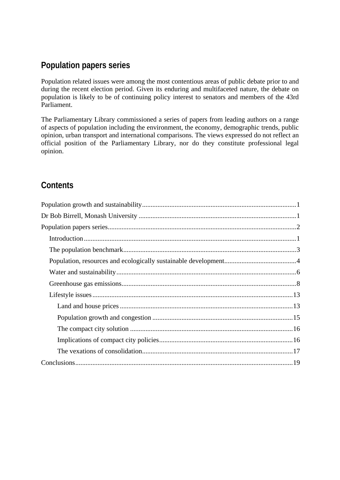# <span id="page-1-0"></span>**Population papers series**

Population related issues were among the most contentious areas of public debate prior to and during the recent election period. Given its enduring and multifaceted nature, the debate on population is likely to be of continuing policy interest to senators and members of the 43rd Parliament.

The Parliamentary Library commissioned a series of papers from leading authors on a range of aspects of population including the environment, the economy, demographic trends, public opinion, urban transport and international comparisons. The views expressed do not reflect an official position of the Parliamentary Library, nor do they constitute professional legal opinion.

# **Contents**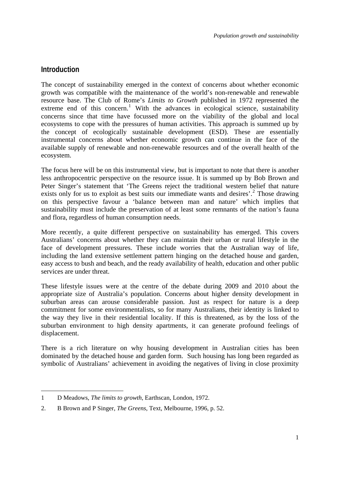### <span id="page-2-0"></span>**Introduction**

<span id="page-2-1"></span>1

The concept of sustainability emerged in the context of concerns about whether economic growth was compatible with the maintenance of the world's non-renewable and renewable resource base. The Club of Rome's *Limits to Growth* published in 1972 represented the extreme end of this concern.<sup>[1](#page-2-1)</sup> With the advances in ecological science, sustainability concerns since that time have focussed more on the viability of the global and local ecosystems to cope with the pressures of human activities. This approach is summed up by the concept of ecologically sustainable development (ESD). These are essentially instrumental concerns about whether economic growth can continue in the face of the available supply of renewable and non-renewable resources and of the overall health of the ecosystem.

The focus here will be on this instrumental view, but is important to note that there is another less anthropocentric perspective on the resource issue. It is summed up by Bob Brown and Peter Singer's statement that 'The Greens reject the traditional western belief that nature exists only for us to exploit as best suits our immediate wants and desires'.<sup>[2](#page-2-2)</sup> Those drawing on this perspective favour a 'balance between man and nature' which implies that sustainability must include the preservation of at least some remnants of the nation's fauna and flora, regardless of human consumption needs.

More recently, a quite different perspective on sustainability has emerged. This covers Australians' concerns about whether they can maintain their urban or rural lifestyle in the face of development pressures. These include worries that the Australian way of life, including the land extensive settlement pattern hinging on the detached house and garden, easy access to bush and beach, and the ready availability of health, education and other public services are under threat.

These lifestyle issues were at the centre of the debate during 2009 and 2010 about the appropriate size of Australia's population. Concerns about higher density development in suburban areas can arouse considerable passion. Just as respect for nature is a deep commitment for some environmentalists, so for many Australians, their identity is linked to the way they live in their residential locality. If this is threatened, as by the loss of the suburban environment to high density apartments, it can generate profound feelings of displacement.

There is a rich literature on why housing development in Australian cities has been dominated by the detached house and garden form. Such housing has long been regarded as symbolic of Australians' achievement in avoiding the negatives of living in close proximity

<sup>1</sup> D Meadows, *The limits to growth*, Earthscan, London, 1972.

<span id="page-2-2"></span><sup>2.</sup> B Brown and P Singer, *The Greens*, Text, Melbourne, 1996, p. 52.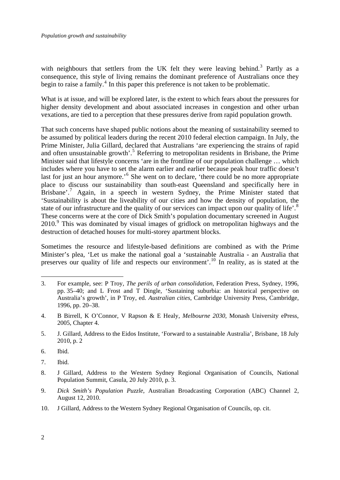with neighbours that settlers from the UK felt they were leaving behind.<sup>[3](#page-3-0)</sup> Partly as a consequence, this style of living remains the dominant preference of Australians once they begin to raise a family.<sup>[4](#page-3-1)</sup> In this paper this preference is not taken to be problematic.

What is at issue, and will be explored later, is the extent to which fears about the pressures for higher density development and about associated increases in congestion and other urban vexations, are tied to a perception that these pressures derive from rapid population growth.

That such concerns have shaped public notions about the meaning of sustainability seemed to be assumed by political leaders during the recent 2010 federal election campaign. In July, the Prime Minister, Julia Gillard, declared that Australians 'are experiencing the strains of rapid and often unsustainable growth'.<sup>[5](#page-3-2)</sup> Referring to metropolitan residents in Brisbane, the Prime Minister said that lifestyle concerns 'are in the frontline of our population challenge … which includes where you have to set the alarm earlier and earlier because peak hour traffic doesn't last for just an hour anymore.<sup>[6](#page-3-3)</sup> She went on to declare, 'there could be no more appropriate place to discuss our sustainability than south-east Queensland and specifically here in Brisbane'.<sup>[7](#page-3-4)</sup> Again, in a speech in western Sydney, the Prime Minister stated that 'Sustainability is about the liveability of our cities and how the density of population, the state of our infrastructure and the quality of our services can impact upon our quality of life'.<sup>[8](#page-3-5)</sup> These concerns were at the core of Dick Smith's population documentary screened in August 2010.<sup>[9](#page-3-6)</sup> This was dominated by visual images of gridlock on metropolitan highways and the destruction of detached houses for multi-storey apartment blocks.

Sometimes the resource and lifestyle-based definitions are combined as with the Prime Minister's plea, 'Let us make the national goal a 'sustainable Australia - an Australia that preserves our quality of life and respects our environment'.<sup>[10](#page-3-7)</sup> In reality, as is stated at the

<span id="page-3-3"></span>6. Ibid.

<u>.</u>

<span id="page-3-4"></span>7. Ibid.

<span id="page-3-7"></span>10. J Gillard, Address to the Western Sydney Regional Organisation of Councils, op. cit.

<span id="page-3-0"></span><sup>3.</sup> For example, see: P Troy, *The perils of urban consolidation*, Federation Press, Sydney, 1996, pp. 35–40; and L Frost and T Dingle, 'Sustaining suburbia: an historical perspective on Australia's growth', in P Troy, ed. *Australian cities*, Cambridge University Press, Cambridge, 1996, pp. 20–38.

<span id="page-3-1"></span><sup>4.</sup> B Birrell, K O'Connor, V Rapson & E Healy, *Melbourne 2030*, Monash University ePress, 2005, Chapter 4.

<span id="page-3-2"></span><sup>5.</sup> J. Gillard, Address to the Eidos Institute, 'Forward to a sustainable Australia', Brisbane, 18 July 2010, p. 2

<span id="page-3-5"></span><sup>8.</sup> J Gillard, Address to the Western Sydney Regional Organisation of Councils, National Population Summit, Casula, 20 July 2010, p. 3.

<span id="page-3-6"></span><sup>9.</sup> *Dick Smith's Population Puzzle*, Australian Broadcasting Corporation (ABC) Channel 2, August 12, 2010.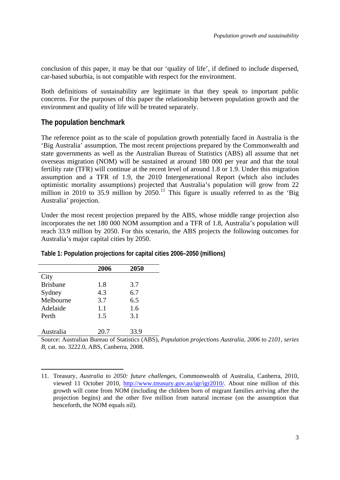<span id="page-4-0"></span>conclusion of this paper, it may be that our 'quality of life', if defined to include dispersed, car-based suburbia, is not compatible with respect for the environment.

Both definitions of sustainability are legitimate in that they speak to important public concerns. For the purposes of this paper the relationship between population growth and the environment and quality of life will be treated separately.

### **The population benchmark**

The reference point as to the scale of population growth potentially faced in Australia is the 'Big Australia' assumption. The most recent projections prepared by the Commonwealth and state governments as well as the Australian Bureau of Statistics (ABS) all assume that net overseas migration (NOM) will be sustained at around 180 000 per year and that the total fertility rate (TFR) will continue at the recent level of around 1.8 or 1.9. Under this migration assumption and a TFR of 1.9, the 2010 Intergenerational Report (which also includes optimistic mortality assumptions) projected that Australia's population will grow from 22 million in 2010 to 35.9 million by  $2050$ .<sup>[11](#page-4-1)</sup> This figure is usually referred to as the 'Big Australia' projection.

Under the most recent projection prepared by the ABS, whose middle range projection also incorporates the net 180 000 NOM assumption and a TFR of 1.8, Australia's population will reach 33.9 million by 2050. For this scenario, the ABS projects the following outcomes for Australia's major capital cities by 2050.

|                 | 2006 | 2050 |  |
|-----------------|------|------|--|
| City            |      |      |  |
| <b>Brisbane</b> | 1.8  | 3.7  |  |
| Sydney          | 4.3  | 6.7  |  |
| Melbourne       | 3.7  | 6.5  |  |
| Adelaide        | 1.1  | 1.6  |  |
| Perth           | 1.5  | 3.1  |  |
|                 |      |      |  |
| Australia       | 20.7 | 33.9 |  |

1

**Table 1: Population projections for capital cities 2006–2050 (millions)** 

Source: Australian Bureau of Statistics (ABS), *Population projections Australia, 2006 to 2101, series B*, cat. no. 3222.0, ABS, Canberra, 2008.

<span id="page-4-1"></span><sup>11.</sup> Treasury, *Australia to 2050: future challenges*, Commonwealth of Australia, Canberra, 2010, viewed 11 October 2010, <http://www.treasury.gov.au/igr/igr2010/>. About nine million of this growth will come from NOM (including the children born of migrant families arriving after the projection begins) and the other five million from natural increase (on the assumption that henceforth, the NOM equals nil).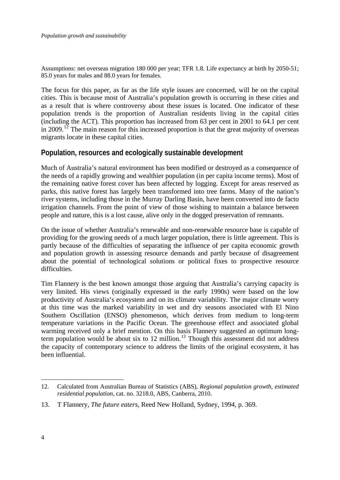<span id="page-5-0"></span>Assumptions: net overseas migration 180 000 per year; TFR 1.8. Life expectancy at birth by 2050-51; 85.0 years for males and 88.0 years for females.

The focus for this paper, as far as the life style issues are concerned, will be on the capital cities. This is because most of Australia's population growth is occurring in these cities and as a result that is where controversy about these issues is located. One indicator of these population trends is the proportion of Australian residents living in the capital cities (including the ACT). This proportion has increased from 63 per cent in 2001 to 64.1 per cent in 2009.<sup>[12](#page-5-1)</sup> The main reason for this increased proportion is that the great majority of overseas migrants locate in these capital cities.

### **Population, resources and ecologically sustainable development**

Much of Australia's natural environment has been modified or destroyed as a consequence of the needs of a rapidly growing and wealthier population (in per capita income terms). Most of the remaining native forest cover has been affected by logging. Except for areas reserved as parks, this native forest has largely been transformed into tree farms. Many of the nation's river systems, including those in the Murray Darling Basin, have been converted into de facto irrigation channels. From the point of view of those wishing to maintain a balance between people and nature, this is a lost cause, alive only in the dogged preservation of remnants.

On the issue of whether Australia's renewable and non-renewable resource base is capable of providing for the growing needs of a much larger population, there is little agreement. This is partly because of the difficulties of separating the influence of per capita economic growth and population growth in assessing resource demands and partly because of disagreement about the potential of technological solutions or political fixes to prospective resource difficulties.

Tim Flannery is the best known amongst those arguing that Australia's carrying capacity is very limited. His views (originally expressed in the early 1990s) were based on the low productivity of Australia's ecosystem and on its climate variability. The major climate worry at this time was the marked variability in wet and dry seasons associated with El Nino Southern Oscillation (ENSO) phenomenon, which derives from medium to long-term temperature variations in the Pacific Ocean. The greenhouse effect and associated global warming received only a brief mention. On this basis Flannery suggested an optimum long-term population would be about six to 12 million.<sup>[13](#page-5-2)</sup> Though this assessment did not address the capacity of contemporary science to address the limits of the original ecosystem, it has been influential.

<u>.</u>

<span id="page-5-1"></span><sup>12.</sup> Calculated from Australian Bureau of Statistics (ABS), *Regional population growth, estimated residential population*, cat. no. 3218.0, ABS, Canberra, 2010.

<span id="page-5-2"></span><sup>13.</sup> T Flannery, *The future eaters*, Reed New Holland, Sydney, 1994, p. 369.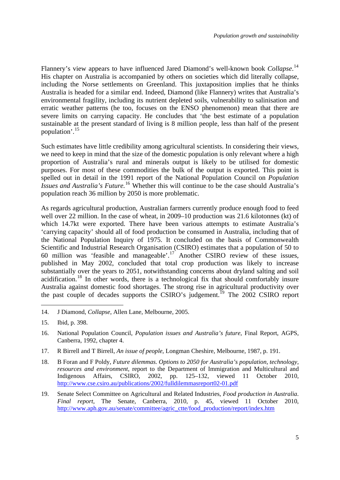Flannery's view appears to have influenced Jared Diamond's well-known book *Collapse*.<sup>[14](#page-6-0)</sup> His chapter on Australia is accompanied by others on societies which did literally collapse, including the Norse settlements on Greenland. This juxtaposition implies that he thinks Australia is headed for a similar end. Indeed, Diamond (like Flannery) writes that Australia's environmental fragility, including its nutrient depleted soils, vulnerability to salinisation and erratic weather patterns (he too, focuses on the ENSO phenomenon) mean that there are severe limits on carrying capacity. He concludes that 'the best estimate of a population sustainable at the present standard of living is 8 million people, less than half of the present population'.[15](#page-6-1)

Such estimates have little credibility among agricultural scientists. In considering their views, we need to keep in mind that the size of the domestic population is only relevant where a high proportion of Australia's rural and minerals output is likely to be utilised for domestic purposes. For most of these commodities the bulk of the output is exported. This point is spelled out in detail in the 1991 report of the National Population Council on *Population Issues and Australia's Future.*[16](#page-6-2) Whether this will continue to be the case should Australia's population reach 36 million by 2050 is more problematic.

As regards agricultural production, Australian farmers currently produce enough food to feed well over 22 million. In the case of wheat, in 2009–10 production was 21.6 kilotonnes (kt) of which 14.7kt were exported. There have been various attempts to estimate Australia's 'carrying capacity' should all of food production be consumed in Australia, including that of the National Population Inquiry of 1975. It concluded on the basis of Commonwealth Scientific and Industrial Research Organisation (CSIRO) estimates that a population of 50 to 60 million was 'feasible and manageable'.<sup>[17](#page-6-3)</sup> Another CSIRO review of these issues, published in May 2002, concluded that total crop production was likely to increase substantially over the years to 2051, notwithstanding concerns about dryland salting and soil acidification.<sup>[18](#page-6-4)</sup> In other words, there is a technological fix that should comfortably insure Australia against domestic food shortages. The strong rise in agricultural productivity over the past couple of decades supports the CSIRO's judgement.<sup>[19](#page-6-5)</sup> The 2002 CSIRO report

- <span id="page-6-3"></span>17. R Birrell and T Birrell, *An issue of people*, Longman Cheshire, Melbourne, 1987, p. 191.
- <span id="page-6-4"></span>18. B Foran and F Poldy, *Future dilemmas. Options to 2050 for Australia's population, technology, resources and environment*, report to the Department of Immigration and Multicultural and Indigenous Affairs, CSIRO, 2002, pp. 125–132, viewed 11 October 2010, <http://www.cse.csiro.au/publications/2002/fulldilemmasreport02-01.pdf>
- <span id="page-6-5"></span>19. Senate Select Committee on Agricultural and Related Industries, *Food production in Australia*. *Final report*, The Senate, Canberra, 2010, p. 45, viewed 11 October 2010, [http://www.aph.gov.au/senate/committee/agric\\_ctte/food\\_production/report/index.htm](http://www.aph.gov.au/senate/committee/agric_ctte/food_production/report/index.htm)

<span id="page-6-0"></span><sup>14.</sup> J Diamond, *Collapse*, Allen Lane, Melbourne, 2005.

<span id="page-6-1"></span><sup>15.</sup> Ibid, p. 398.

<span id="page-6-2"></span><sup>16.</sup> National Population Council, *Population issues and Australia's future*, Final Report, AGPS, Canberra, 1992, chapter 4.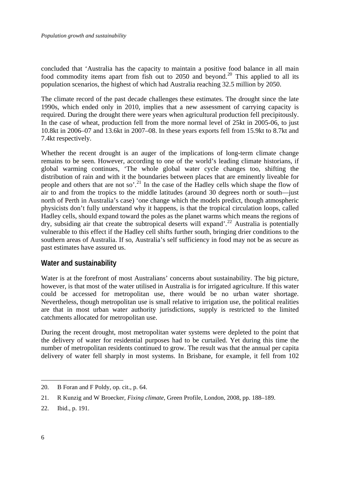<span id="page-7-0"></span>concluded that 'Australia has the capacity to maintain a positive food balance in all main food commodity items apart from fish out to  $2050$  $2050$  and beyond.<sup>20</sup> This applied to all its population scenarios, the highest of which had Australia reaching 32.5 million by 2050.

The climate record of the past decade challenges these estimates. The drought since the late 1990s, which ended only in 2010, implies that a new assessment of carrying capacity is required. During the drought there were years when agricultural production fell precipitously. In the case of wheat, production fell from the more normal level of 25kt in 2005-06, to just 10.8kt in 2006–07 and 13.6kt in 2007–08. In these years exports fell from 15.9kt to 8.7kt and 7.4kt respectively.

Whether the recent drought is an auger of the implications of long-term climate change remains to be seen. However, according to one of the world's leading climate historians, if global warming continues, 'The whole global water cycle changes too, shifting the distribution of rain and with it the boundaries between places that are eminently liveable for people and others that are not so'.<sup>[21](#page-7-2)</sup> In the case of the Hadley cells which shape the flow of air to and from the tropics to the middle latitudes (around 30 degrees north or south—just north of Perth in Australia's case) 'one change which the models predict, though atmospheric physicists don't fully understand why it happens, is that the tropical circulation loops, called Hadley cells, should expand toward the poles as the planet warms which means the regions of dry, subsiding air that create the subtropical deserts will expand'.<sup>[22](#page-7-3)</sup> Australia is potentially vulnerable to this effect if the Hadley cell shifts further south, bringing drier conditions to the southern areas of Australia. If so, Australia's self sufficiency in food may not be as secure as past estimates have assured us.

### **Water and sustainability**

Water is at the forefront of most Australians' concerns about sustainability. The big picture, however, is that most of the water utilised in Australia is for irrigated agriculture. If this water could be accessed for metropolitan use, there would be no urban water shortage. Nevertheless, though metropolitan use is small relative to irrigation use, the political realities are that in most urban water authority jurisdictions, supply is restricted to the limited catchments allocated for metropolitan use.

During the recent drought, most metropolitan water systems were depleted to the point that the delivery of water for residential purposes had to be curtailed. Yet during this time the number of metropolitan residents continued to grow. The result was that the annual per capita delivery of water fell sharply in most systems. In Brisbane, for example, it fell from 102

<u>.</u>

<span id="page-7-1"></span><sup>20.</sup> B Foran and F Poldy, op. cit., p. 64.

<span id="page-7-2"></span><sup>21.</sup> R Kunzig and W Broecker, *Fixing climate*, Green Profile, London, 2008, pp. 188–189.

<span id="page-7-3"></span><sup>22.</sup> Ibid., p. 191.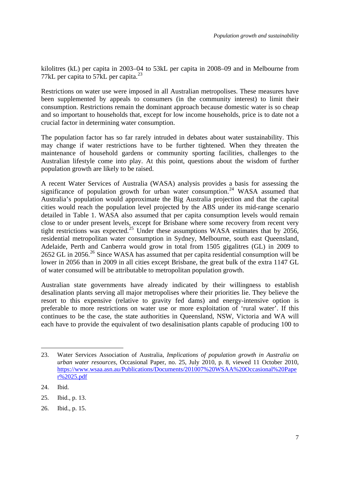kilolitres (kL) per capita in 2003–04 to 53kL per capita in 2008–09 and in Melbourne from 77kL per capita to 57kL per capita. $^{23}$  $^{23}$  $^{23}$ 

Restrictions on water use were imposed in all Australian metropolises. These measures have been supplemented by appeals to consumers (in the community interest) to limit their consumption. Restrictions remain the dominant approach because domestic water is so cheap and so important to households that, except for low income households, price is to date not a crucial factor in determining water consumption.

The population factor has so far rarely intruded in debates about water sustainability. This may change if water restrictions have to be further tightened. When they threaten the maintenance of household gardens or community sporting facilities, challenges to the Australian lifestyle come into play. At this point, questions about the wisdom of further population growth are likely to be raised.

A recent Water Services of Australia (WASA) analysis provides a basis for assessing the significance of population growth for urban water consumption.<sup>[24](#page-8-1)</sup> WASA assumed that Australia's population would approximate the Big Australia projection and that the capital cities would reach the population level projected by the ABS under its mid-range scenario detailed in Table 1. WASA also assumed that per capita consumption levels would remain close to or under present levels, except for Brisbane where some recovery from recent very tight restrictions was expected.<sup>[25](#page-8-2)</sup> Under these assumptions WASA estimates that by 2056, residential metropolitan water consumption in Sydney, Melbourne, south east Queensland, Adelaide, Perth and Canberra would grow in total from 1505 gigalitres (GL) in 2009 to [26](#page-8-3)52 GL in 2056.<sup>26</sup> Since WASA has assumed that per capita residential consumption will be lower in 2056 than in 2009 in all cities except Brisbane, the great bulk of the extra 1147 GL of water consumed will be attributable to metropolitan population growth.

Australian state governments have already indicated by their willingness to establish desalination plants serving all major metropolises where their priorities lie. They believe the resort to this expensive (relative to gravity fed dams) and energy-intensive option is preferable to more restrictions on water use or more exploitation of 'rural water'. If this continues to be the case, the state authorities in Queensland, NSW, Victoria and WA will each have to provide the equivalent of two desalinisation plants capable of producing 100 to

<u>.</u>

<span id="page-8-0"></span><sup>23.</sup> Water Services Association of Australia, *Implications of population growth in Australia on urban water resources,* Occasional Paper, no. 25, July 2010, p. 8, viewed 11 October 2010, [https://www.wsaa.asn.au/Publications/Documents/201007%20WSAA%20Occasional%20Pape](https://www.wsaa.asn.au/Publications/Documents/201007%20WSAA%20Occasional%20Paper%2025.pdf) [r%2025.pdf](https://www.wsaa.asn.au/Publications/Documents/201007%20WSAA%20Occasional%20Paper%2025.pdf) 

<span id="page-8-1"></span><sup>24.</sup> Ibid.

<span id="page-8-2"></span><sup>25.</sup> Ibid., p. 13.

<span id="page-8-3"></span><sup>26.</sup> Ibid., p. 15.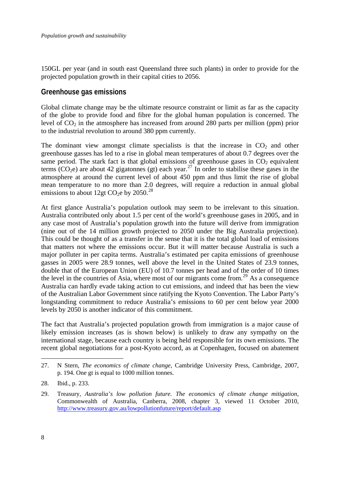<span id="page-9-0"></span>150GL per year (and in south east Queensland three such plants) in order to provide for the projected population growth in their capital cities to 2056.

### **Greenhouse gas emissions**

Global climate change may be the ultimate resource constraint or limit as far as the capacity of the globe to provide food and fibre for the global human population is concerned. The level of  $CO<sub>2</sub>$  in the atmosphere has increased from around 280 parts per million (ppm) prior to the industrial revolution to around 380 ppm currently.

The dominant view amongst climate specialists is that the increase in  $CO<sub>2</sub>$  and other greenhouse gasses has led to a rise in global mean temperatures of about 0.7 degrees over the same period. The stark fact is that global emissions of greenhouse gases in  $CO<sub>2</sub>$  equivalent terms (CO<sub>2</sub>e) are about 42 gigatonnes (gt) each year.<sup>[27](#page-9-1)</sup> In order to stabilise these gases in the atmosphere at around the current level of about 450 ppm and thus limit the rise of global mean temperature to no more than 2.0 degrees, will require a reduction in annual global emissions to about 12gt CO<sub>2</sub>e by 2050.<sup>[28](#page-9-2)</sup>

At first glance Australia's population outlook may seem to be irrelevant to this situation. Australia contributed only about 1.5 per cent of the world's greenhouse gases in 2005, and in any case most of Australia's population growth into the future will derive from immigration (nine out of the 14 million growth projected to 2050 under the Big Australia projection). This could be thought of as a transfer in the sense that it is the total global load of emissions that matters not where the emissions occur. But it will matter because Australia is such a major polluter in per capita terms. Australia's estimated per capita emissions of greenhouse gasses in 2005 were 28.9 tonnes, well above the level in the United States of 23.9 tonnes, double that of the European Union (EU) of 10.7 tonnes per head and of the order of 10 times the level in the countries of Asia, where most of our migrants come from.<sup>[29](#page-9-3)</sup> As a consequence Australia can hardly evade taking action to cut emissions, and indeed that has been the view of the Australian Labor Government since ratifying the Kyoto Convention. The Labor Party's longstanding commitment to reduce Australia's emissions to 60 per cent below year 2000 levels by 2050 is another indicator of this commitment.

The fact that Australia's projected population growth from immigration is a major cause of likely emission increases (as is shown below) is unlikely to draw any sympathy on the international stage, because each country is being held responsible for its own emissions. The recent global negotiations for a post-Kyoto accord, as at Copenhagen, focused on abatement

<span id="page-9-1"></span><sup>27.</sup> N Stern, *The economics of climate change*, Cambridge University Press, Cambridge, 2007, p. 194. One gt is equal to 1000 million tonnes.

<span id="page-9-2"></span><sup>28.</sup> Ibid., p. 233.

<span id="page-9-3"></span><sup>29.</sup> Treasury, *Australia's low pollution future. The economics of climate change mitigation*, Commonwealth of Australia, Canberra, 2008, chapter 3, viewed 11 October 2010, <http://www.treasury.gov.au/lowpollutionfuture/report/default.asp>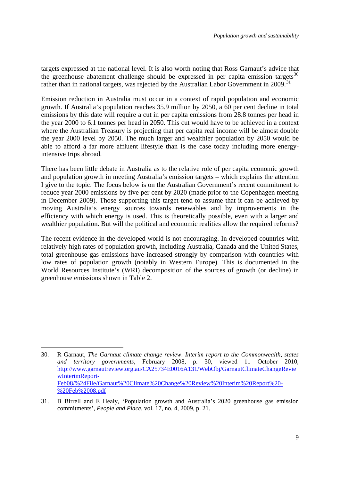targets expressed at the national level. It is also worth noting that Ross Garnaut's advice that the greenhouse abatement challenge should be expressed in per capita emission targets<sup>[30](#page-10-0)</sup> rather than in national targets, was rejected by the Australian Labor Government in 2009.<sup>[31](#page-10-1)</sup>

Emission reduction in Australia must occur in a context of rapid population and economic growth. If Australia's population reaches 35.9 million by 2050, a 60 per cent decline in total emissions by this date will require a cut in per capita emissions from 28.8 tonnes per head in the year 2000 to 6.1 tonnes per head in 2050. This cut would have to be achieved in a context where the Australian Treasury is projecting that per capita real income will be almost double the year 2000 level by 2050. The much larger and wealthier population by 2050 would be able to afford a far more affluent lifestyle than is the case today including more energyintensive trips abroad.

There has been little debate in Australia as to the relative role of per capita economic growth and population growth in meeting Australia's emission targets – which explains the attention I give to the topic. The focus below is on the Australian Government's recent commitment to reduce year 2000 emissions by five per cent by 2020 (made prior to the Copenhagen meeting in December 2009). Those supporting this target tend to assume that it can be achieved by moving Australia's energy sources towards renewables and by improvements in the efficiency with which energy is used. This is theoretically possible, even with a larger and wealthier population. But will the political and economic realities allow the required reforms?

The recent evidence in the developed world is not encouraging. In developed countries with relatively high rates of population growth, including Australia, Canada and the United States, total greenhouse gas emissions have increased strongly by comparison with countries with low rates of population growth (notably in Western Europe). This is documented in the World Resources Institute's (WRI) decomposition of the sources of growth (or decline) in greenhouse emissions shown in Table 2.

<span id="page-10-0"></span><sup>30.</sup> R Garnaut, *The Garnaut climate change review*. *Interim report to the Commonwealth, states and territory governments*, February 2008, p. 30, viewed 11 October 2010, [http://www.garnautreview.org.au/CA25734E0016A131/WebObj/GarnautClimateChangeRevie](http://www.garnautreview.org.au/CA25734E0016A131/WebObj/GarnautClimateChangeReviewInterimReport-Feb08/%24File/Garnaut%20Climate%20Change%20Review%20Interim%20Report%20-%20Feb%2008.pdf) [wInterimReport-](http://www.garnautreview.org.au/CA25734E0016A131/WebObj/GarnautClimateChangeReviewInterimReport-Feb08/%24File/Garnaut%20Climate%20Change%20Review%20Interim%20Report%20-%20Feb%2008.pdf)[Feb08/%24File/Garnaut%20Climate%20Change%20Review%20Interim%20Report%20-](http://www.garnautreview.org.au/CA25734E0016A131/WebObj/GarnautClimateChangeReviewInterimReport-Feb08/%24File/Garnaut%20Climate%20Change%20Review%20Interim%20Report%20-%20Feb%2008.pdf) [%20Feb%2008.pdf](http://www.garnautreview.org.au/CA25734E0016A131/WebObj/GarnautClimateChangeReviewInterimReport-Feb08/%24File/Garnaut%20Climate%20Change%20Review%20Interim%20Report%20-%20Feb%2008.pdf) 

<span id="page-10-1"></span><sup>31.</sup> B Birrell and E Healy, 'Population growth and Australia's 2020 greenhouse gas emission commitments', *People and Place*, vol. 17, no. 4, 2009, p. 21.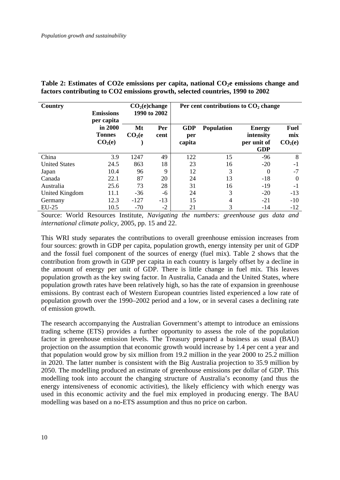| Country<br><b>Emissions</b><br>per capita |                                                 | CO <sub>2</sub> (e) change<br>1990 to 2002 |             | Per cent contributions to $CO2$ change |            |                                                         |                                           |
|-------------------------------------------|-------------------------------------------------|--------------------------------------------|-------------|----------------------------------------|------------|---------------------------------------------------------|-------------------------------------------|
|                                           | in 2000<br><b>Tonnes</b><br>CO <sub>2</sub> (e) | Mt<br>CO <sub>2</sub> (e)                  | Per<br>cent | <b>GDP</b><br>per<br>capita            | Population | <b>Energy</b><br>intensity<br>per unit of<br><b>GDP</b> | <b>Fuel</b><br>mix<br>CO <sub>2</sub> (e) |
| China                                     | 3.9                                             | 1247                                       | 49          | 122                                    | 15         | $-96$                                                   | 8                                         |
| <b>United States</b>                      | 24.5                                            | 863                                        | 18          | 23                                     | 16         | $-20$                                                   | $-1$                                      |
| Japan                                     | 10.4                                            | 96                                         | 9           | 12                                     | 3          | 0                                                       | $-7$                                      |
| Canada                                    | 22.1                                            | 87                                         | 20          | 24                                     | 13         | $-18$                                                   | 0                                         |
| Australia                                 | 25.6                                            | 73                                         | 28          | 31                                     | 16         | $-19$                                                   | $-1$                                      |
| United Kingdom                            | 11.1                                            | $-36$                                      | -6          | 24                                     | 3          | $-20$                                                   | $-13$                                     |
| Germany                                   | 12.3                                            | $-127$                                     | $-13$       | 15                                     | 4          | $-21$                                                   | $-10$                                     |
| $EU-25$                                   | 10.5                                            | $-70$                                      | $-2$        | 21                                     | 3          | $-14$                                                   | $-12$                                     |

Table 2: Estimates of CO2e emissions per capita, national CO<sub>2</sub>e emissions change and **factors contributing to CO2 emissions growth, selected countries, 1990 to 2002** 

Source: World Resources Institute, *Navigating the numbers: greenhouse gas data and international climate policy*, 2005, pp. 15 and 22.

This WRI study separates the contributions to overall greenhouse emission increases from four sources: growth in GDP per capita, population growth, energy intensity per unit of GDP and the fossil fuel component of the sources of energy (fuel mix). Table 2 shows that the contribution from growth in GDP per capita in each country is largely offset by a decline in the amount of energy per unit of GDP. There is little change in fuel mix. This leaves population growth as the key swing factor. In Australia, Canada and the United States, where population growth rates have been relatively high, so has the rate of expansion in greenhouse emissions. By contrast each of Western European countries listed experienced a low rate of population growth over the 1990–2002 period and a low, or in several cases a declining rate of emission growth.

The research accompanying the Australian Government's attempt to introduce an emissions trading scheme (ETS) provides a further opportunity to assess the role of the population factor in greenhouse emission levels. The Treasury prepared a business as usual (BAU) projection on the assumption that economic growth would increase by 1.4 per cent a year and that population would grow by six million from 19.2 million in the year 2000 to 25.2 million in 2020. The latter number is consistent with the Big Australia projection to 35.9 million by 2050. The modelling produced an estimate of greenhouse emissions per dollar of GDP. This modelling took into account the changing structure of Australia's economy (and thus the energy intensiveness of economic activities), the likely efficiency with which energy was used in this economic activity and the fuel mix employed in producing energy. The BAU modelling was based on a no-ETS assumption and thus no price on carbon.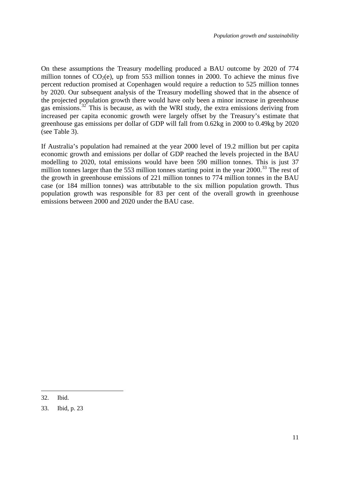On these assumptions the Treasury modelling produced a BAU outcome by 2020 of 774 million tonnes of  $CO<sub>2</sub>(e)$ , up from 553 million tonnes in 2000. To achieve the minus five percent reduction promised at Copenhagen would require a reduction to 525 million tonnes by 2020. Our subsequent analysis of the Treasury modelling showed that in the absence of the projected population growth there would have only been a minor increase in greenhouse gas emissions.<sup>[32](#page-12-0)</sup> This is because, as with the WRI study, the extra emissions deriving from increased per capita economic growth were largely offset by the Treasury's estimate that greenhouse gas emissions per dollar of GDP will fall from 0.62kg in 2000 to 0.49kg by 2020 (see Table 3).

If Australia's population had remained at the year 2000 level of 19.2 million but per capita economic growth and emissions per dollar of GDP reached the levels projected in the BAU modelling to 2020, total emissions would have been 590 million tonnes. This is just 37 million tonnes larger than the 553 million tonnes starting point in the year 2000.<sup>[33](#page-12-1)</sup> The rest of the growth in greenhouse emissions of 221 million tonnes to 774 million tonnes in the BAU case (or 184 million tonnes) was attributable to the six million population growth. Thus population growth was responsible for 83 per cent of the overall growth in greenhouse emissions between 2000 and 2020 under the BAU case.

<span id="page-12-0"></span><sup>32.</sup> Ibid.

<span id="page-12-1"></span><sup>33.</sup> Ibid, p. 23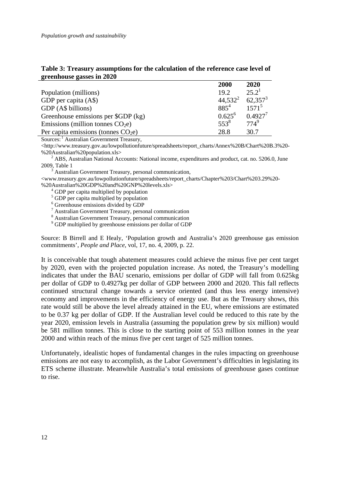| $21$ cultivust gasses in $2020$       |            |            |
|---------------------------------------|------------|------------|
|                                       | 2000       | 2020       |
| Population (millions)                 | 19.2       | $25.2^1$   |
| GDP per capita (A\$)                  | $44,532^2$ | $62,357^3$ |
| GDP (A\$ billions)                    | $885^{4}$  | $1571^5$   |
| Greenhouse emissions per \$GDP (kg)   | $0.625^6$  | $0.4927^7$ |
| Emissions (million tonnes $CO2e$ )    | $553^8$    | $774^{9}$  |
| Per capita emissions (tonnes $CO2e$ ) | 28.8       | 30.7       |

#### **Table 3: Treasury assumptions for the calculation of the reference case level of greenhouse gasses in 2020**

Sources: <sup>1</sup> Australian Government Treasury,

 $\langle$ http://www.treasury.gov.au/lowpollutionfuture/spreadsheets/report\_charts/Annex%20B/Chart%20B.3%20-%20Australian%20population.xls>

 $2$  ABS, Australian National Accounts: National income, expenditures and product, cat. no. 5206.0, June 2009, Table 1

<sup>3</sup> Australian Government Treasury, personal communication,

<www.treasury.gov.au/lowpollutionfuture/spreadsheets/report\_charts/Chapter%203/Chart%203.29%20- %20Australian%20GDP%20and%20GNP%20levels.xls><br><sup>4</sup> GDP per capita multiplied by population

 $\frac{1}{2}$ <br>  $\frac{1}{2}$  GDP per capita multiplied by population<br>  $\frac{1}{2}$  Greenhouse emissions divided by GDP<br>  $\frac{1}{2}$  Australian Government Treasury, personal communication<br>  $\frac{1}{2}$  Australian Government Treasury, pers

<sup>9</sup> GDP multiplied by greenhouse emissions per dollar of GDP

Source: B Birrell and E Healy, 'Population growth and Australia's 2020 greenhouse gas emission commitments', *People and Place*, vol, 17, no. 4, 2009, p. 22.

It is conceivable that tough abatement measures could achieve the minus five per cent target by 2020, even with the projected population increase. As noted, the Treasury's modelling indicates that under the BAU scenario, emissions per dollar of GDP will fall from 0.625kg per dollar of GDP to 0.4927kg per dollar of GDP between 2000 and 2020. This fall reflects continued structural change towards a service oriented (and thus less energy intensive) economy and improvements in the efficiency of energy use. But as the Treasury shows, this rate would still be above the level already attained in the EU, where emissions are estimated to be 0.37 kg per dollar of GDP. If the Australian level could be reduced to this rate by the year 2020, emission levels in Australia (assuming the population grew by six million) would be 581 million tonnes. This is close to the starting point of 553 million tonnes in the year 2000 and within reach of the minus five per cent target of 525 million tonnes.

Unfortunately, idealistic hopes of fundamental changes in the rules impacting on greenhouse emissions are not easy to accomplish, as the Labor Government's difficulties in legislating its ETS scheme illustrate. Meanwhile Australia's total emissions of greenhouse gases continue to rise.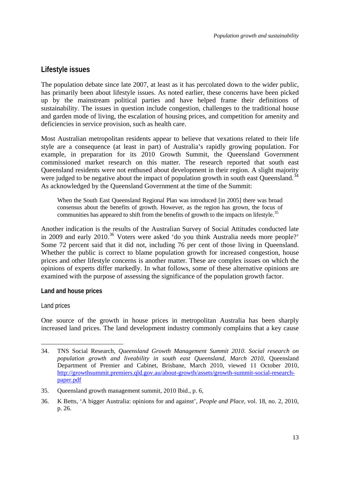### <span id="page-14-0"></span>**Lifestyle issues**

The population debate since late 2007, at least as it has percolated down to the wider public, has primarily been about lifestyle issues. As noted earlier, these concerns have been picked up by the mainstream political parties and have helped frame their definitions of sustainability. The issues in question include congestion, challenges to the traditional house and garden mode of living, the escalation of housing prices, and competition for amenity and deficiencies in service provision, such as health care.

Most Australian metropolitan residents appear to believe that vexations related to their life style are a consequence (at least in part) of Australia's rapidly growing population. For example, in preparation for its 2010 Growth Summit, the Queensland Government commissioned market research on this matter. The research reported that south east Queensland residents were not enthused about development in their region. A slight majority were judged to be negative about the impact of population growth in south east Queensland.<sup>[34](#page-14-1)</sup> As acknowledged by the Queensland Government at the time of the Summit:

When the South East Queensland Regional Plan was introduced [in 2005] there was broad consensus about the benefits of growth. However, as the region has grown, the focus of communities has appeared to shift from the benefits of growth to the impacts on lifestyle.<sup>[35](#page-14-2)</sup>

Another indication is the results of the Australian Survey of Social Attitudes conducted late in 2009 and early 2010.<sup>[36](#page-14-3)</sup> Voters were asked 'do you think Australia needs more people?' Some 72 percent said that it did not, including 76 per cent of those living in Queensland. Whether the public is correct to blame population growth for increased congestion, house prices and other lifestyle concerns is another matter. These are complex issues on which the opinions of experts differ markedly. In what follows, some of these alternative opinions are examined with the purpose of assessing the significance of the population growth factor.

#### **Land and house prices**

#### Land prices

1

One source of the growth in house prices in metropolitan Australia has been sharply increased land prices. The land development industry commonly complains that a key cause

<span id="page-14-1"></span><sup>34.</sup> TNS Social Research, *Queensland Growth Management Summit 2010*. *Social research on population growth and liveability in south east Queensland*, *March 2010*, Queensland Department of Premier and Cabinet, Brisbane, March 2010, viewed 11 October 2010, [http://growthsummit.premiers.qld.gov.au/about-growth/assets/growth-summit-social-research](http://growthsummit.premiers.qld.gov.au/about-growth/assets/growth-summit-social-research-paper.pdf)[paper.pdf](http://growthsummit.premiers.qld.gov.au/about-growth/assets/growth-summit-social-research-paper.pdf)

<span id="page-14-2"></span><sup>35.</sup> Queensland growth management summit, 2010 Ibid., p. 6,

<span id="page-14-3"></span><sup>36.</sup> K Betts, 'A bigger Australia: opinions for and against'*, People and Place*, vol. 18, no. 2, 2010, p. 26.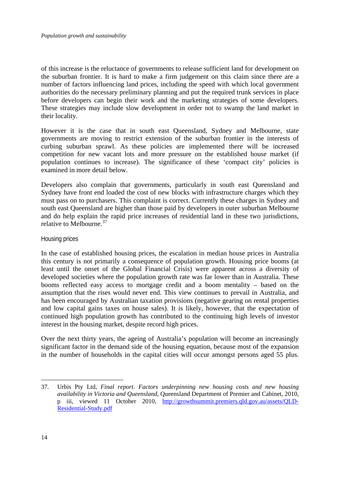of this increase is the reluctance of governments to release sufficient land for development on the suburban frontier. It is hard to make a firm judgement on this claim since there are a number of factors influencing land prices, including the speed with which local government authorities do the necessary preliminary planning and put the required trunk services in place before developers can begin their work and the marketing strategies of some developers. These strategies may include slow development in order not to swamp the land market in their locality.

However it is the case that in south east Queensland, Sydney and Melbourne, state governments are moving to restrict extension of the suburban frontier in the interests of curbing suburban sprawl. As these policies are implemented there will be increased competition for new vacant lots and more pressure on the established house market (if population continues to increase). The significance of these 'compact city' policies is examined in more detail below.

Developers also complain that governments, particularly in south east Queensland and Sydney have front end loaded the cost of new blocks with infrastructure charges which they must pass on to purchasers. This complaint is correct. Currently these charges in Sydney and south east Queensland are higher than those paid by developers in outer suburban Melbourne and do help explain the rapid price increases of residential land in these two jurisdictions, relative to Melbourne.[37](#page-15-0)

#### Housing prices

In the case of established housing prices, the escalation in median house prices in Australia this century is not primarily a consequence of population growth. Housing price booms (at least until the onset of the Global Financial Crisis) were apparent across a diversity of developed societies where the population growth rate was far lower than in Australia. These booms reflected easy access to mortgage credit and a boom mentality – based on the assumption that the rises would never end. This view continues to prevail in Australia, and has been encouraged by Australian taxation provisions (negative gearing on rental properties and low capital gains taxes on house sales). It is likely, however, that the expectation of continued high population growth has contributed to the continuing high levels of investor interest in the housing market, despite record high prices.

Over the next thirty years, the ageing of Australia's population will become an increasingly significant factor in the demand side of the housing equation, because most of the expansion in the number of households in the capital cities will occur amongst persons aged 55 plus.

<span id="page-15-0"></span><sup>37.</sup> Urbis Pty Ltd, *Final report. Factors underpinning new housing costs and new housing availability in Victoria and Queensland*, Queensland Department of Premier and Cabinet, 2010, p iii, viewed 11 October 2010, [http://growthsummit.premiers.qld.gov.au/assets/QLD-](http://growthsummit.premiers.qld.gov.au/assets/QLD-Residential-Study.pdf)[Residential-Study.pdf](http://growthsummit.premiers.qld.gov.au/assets/QLD-Residential-Study.pdf)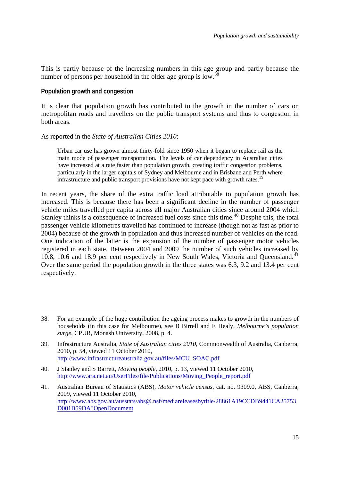<span id="page-16-0"></span>This is partly because of the increasing numbers in this age group and partly because the number of persons per household in the older age group is low.<sup>[38](#page-16-1)</sup>

#### **Population growth and congestion**

1

It is clear that population growth has contributed to the growth in the number of cars on metropolitan roads and travellers on the public transport systems and thus to congestion in both areas.

#### As reported in the *State of Australian Cities 2010*:

Urban car use has grown almost thirty-fold since 1950 when it began to replace rail as the main mode of passenger transportation. The levels of car dependency in Australian cities have increased at a rate faster than population growth, creating traffic congestion problems, particularly in the larger capitals of Sydney and Melbourne and in Brisbane and Perth where infrastructure and public transport provisions have not kept pace with growth rates.<sup>[39](#page-16-2)</sup>

In recent years, the share of the extra traffic load attributable to population growth has increased. This is because there has been a significant decline in the number of passenger vehicle miles travelled per capita across all major Australian cities since around 2004 which Stanley thinks is a consequence of increased fuel costs since this time.<sup>[40](#page-16-3)</sup> Despite this, the total passenger vehicle kilometres travelled has continued to increase (though not as fast as prior to 2004) because of the growth in population and thus increased number of vehicles on the road. One indication of the latter is the expansion of the number of passenger motor vehicles registered in each state. Between 2004 and 2009 the number of such vehicles increased by 10.8, 10.6 and 18.9 per cent respectively in New South Wales, Victoria and Queensland.<sup>[41](#page-16-4)</sup> Over the same period the population growth in the three states was 6.3, 9.2 and 13.4 per cent respectively.

<span id="page-16-1"></span><sup>38.</sup> For an example of the huge contribution the ageing process makes to growth in the numbers of households (in this case for Melbourne), see B Birrell and E Healy, *Melbourne's population surge*, CPUR, Monash University, 2008, p. 4.

<span id="page-16-2"></span><sup>39.</sup> Infrastructure Australia, *State of Australian cities 2010*, Commonwealth of Australia, Canberra, 2010, p. 54, viewed 11 October 2010, [http://www.infrastructureaustralia.gov.au/files/MCU\\_SOAC.pdf](http://www.infrastructureaustralia.gov.au/files/MCU_SOAC.pdf) 

<span id="page-16-3"></span><sup>40.</sup> J Stanley and S Barrett, *Moving people*, 2010, p. 13, viewed 11 October 2010, [http://www.ara.net.au/UserFiles/file/Publications/Moving\\_People\\_report.pdf](http://www.ara.net.au/UserFiles/file/Publications/Moving_People_report.pdf) 

<span id="page-16-4"></span><sup>41.</sup> Australian Bureau of Statistics (ABS), *Motor vehicle census*, cat. no. 9309.0, ABS, Canberra, 2009, viewed 11 October 2010, [http://www.abs.gov.au/ausstats/abs@.nsf/mediareleasesbytitle/28861A19CCDB9441CA25753](http://www.abs.gov.au/ausstats/abs@.nsf/mediareleasesbytitle/28861A19CCDB9441CA25753D001B59DA?OpenDocument) [D001B59DA?OpenDocument](http://www.abs.gov.au/ausstats/abs@.nsf/mediareleasesbytitle/28861A19CCDB9441CA25753D001B59DA?OpenDocument)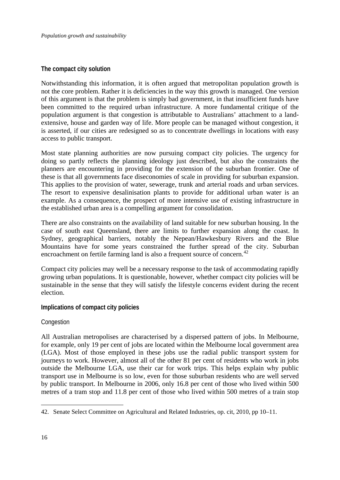#### <span id="page-17-0"></span>**The compact city solution**

Notwithstanding this information, it is often argued that metropolitan population growth is not the core problem. Rather it is deficiencies in the way this growth is managed. One version of this argument is that the problem is simply bad government, in that insufficient funds have been committed to the required urban infrastructure. A more fundamental critique of the population argument is that congestion is attributable to Australians' attachment to a landextensive, house and garden way of life. More people can be managed without congestion, it is asserted, if our cities are redesigned so as to concentrate dwellings in locations with easy access to public transport.

Most state planning authorities are now pursuing compact city policies. The urgency for doing so partly reflects the planning ideology just described, but also the constraints the planners are encountering in providing for the extension of the suburban frontier. One of these is that all governments face diseconomies of scale in providing for suburban expansion. This applies to the provision of water, sewerage, trunk and arterial roads and urban services. The resort to expensive desalinisation plants to provide for additional urban water is an example. As a consequence, the prospect of more intensive use of existing infrastructure in the established urban area is a compelling argument for consolidation.

There are also constraints on the availability of land suitable for new suburban housing. In the case of south east Queensland, there are limits to further expansion along the coast. In Sydney, geographical barriers, notably the Nepean/Hawkesbury Rivers and the Blue Mountains have for some years constrained the further spread of the city. Suburban encroachment on fertile farming land is also a frequent source of concern.<sup>[42](#page-17-1)</sup>

Compact city policies may well be a necessary response to the task of accommodating rapidly growing urban populations. It is questionable, however, whether compact city policies will be sustainable in the sense that they will satisfy the lifestyle concerns evident during the recent election.

#### **Implications of compact city policies**

#### **Congestion**

All Australian metropolises are characterised by a dispersed pattern of jobs. In Melbourne, for example, only 19 per cent of jobs are located within the Melbourne local government area (LGA). Most of those employed in these jobs use the radial public transport system for journeys to work. However, almost all of the other 81 per cent of residents who work in jobs outside the Melbourne LGA, use their car for work trips. This helps explain why public transport use in Melbourne is so low, even for those suburban residents who are well served by public transport. In Melbourne in 2006, only 16.8 per cent of those who lived within 500 metres of a tram stop and 11.8 per cent of those who lived within 500 metres of a train stop

<span id="page-17-1"></span><sup>42.</sup> Senate Select Committee on Agricultural and Related Industries, op. cit, 2010, pp 10–11.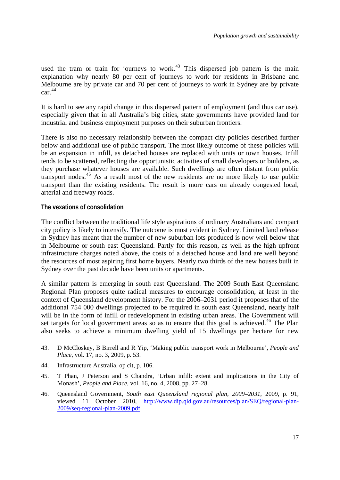<span id="page-18-0"></span>used the tram or train for journeys to work.<sup>[43](#page-18-1)</sup> This dispersed job pattern is the main explanation why nearly 80 per cent of journeys to work for residents in Brisbane and Melbourne are by private car and 70 per cent of journeys to work in Sydney are by private car. [44](#page-18-2)

It is hard to see any rapid change in this dispersed pattern of employment (and thus car use), especially given that in all Australia's big cities, state governments have provided land for industrial and business employment purposes on their suburban frontiers.

There is also no necessary relationship between the compact city policies described further below and additional use of public transport. The most likely outcome of these policies will be an expansion in infill, as detached houses are replaced with units or town houses. Infill tends to be scattered, reflecting the opportunistic activities of small developers or builders, as they purchase whatever houses are available. Such dwellings are often distant from public transport nodes.<sup>[45](#page-18-3)</sup> As a result most of the new residents are no more likely to use public transport than the existing residents. The result is more cars on already congested local, arterial and freeway roads.

#### **The vexations of consolidation**

The conflict between the traditional life style aspirations of ordinary Australians and compact city policy is likely to intensify. The outcome is most evident in Sydney. Limited land release in Sydney has meant that the number of new suburban lots produced is now well below that in Melbourne or south east Queensland. Partly for this reason, as well as the high upfront infrastructure charges noted above, the costs of a detached house and land are well beyond the resources of most aspiring first home buyers. Nearly two thirds of the new houses built in Sydney over the past decade have been units or apartments.

A similar pattern is emerging in south east Queensland. The 2009 South East Queensland Regional Plan proposes quite radical measures to encourage consolidation, at least in the context of Queensland development history. For the 2006–2031 period it proposes that of the additional 754 000 dwellings projected to be required in south east Queensland, nearly half will be in the form of infill or redevelopment in existing urban areas. The Government will set targets for local government areas so as to ensure that this goal is achieved.<sup>[46](#page-18-4)</sup> The Plan also seeks to achieve a minimum dwelling yield of 15 dwellings per hectare for new

<span id="page-18-1"></span><sup>43.</sup> D McCloskey, B Birrell and R Yip, 'Making public transport work in Melbourne', *People and Place*, vol. 17, no. 3, 2009, p. 53.

<span id="page-18-2"></span><sup>44.</sup> Infrastructure Australia, op cit, p. 106.

<span id="page-18-3"></span><sup>45.</sup> T Phan, J Peterson and S Chandra, 'Urban infill: extent and implications in the City of Monash', *People and Place*, vol. 16, no. 4, 2008, pp. 27–28.

<span id="page-18-4"></span><sup>46.</sup> Queensland Government, *South east Queensland regional plan, 2009–2031*, 2009, p. 91, viewed 11 October 2010, [http://www.dip.qld.gov.au/resources/plan/SEQ/regional-plan-](http://www.dip.qld.gov.au/resources/plan/SEQ/regional-plan-2009/seq-regional-plan-2009.pdf)[2009/seq-regional-plan-2009.pdf](http://www.dip.qld.gov.au/resources/plan/SEQ/regional-plan-2009/seq-regional-plan-2009.pdf)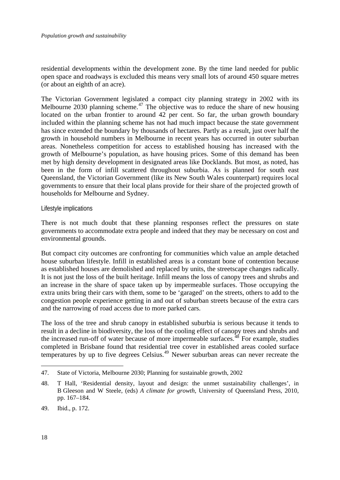residential developments within the development zone. By the time land needed for public open space and roadways is excluded this means very small lots of around 450 square metres (or about an eighth of an acre).

The Victorian Government legislated a compact city planning strategy in 2002 with its Melbourne 2030 planning scheme.<sup>[47](#page-19-0)</sup> The objective was to reduce the share of new housing located on the urban frontier to around 42 per cent. So far, the urban growth boundary included within the planning scheme has not had much impact because the state government has since extended the boundary by thousands of hectares. Partly as a result, just over half the growth in household numbers in Melbourne in recent years has occurred in outer suburban areas. Nonetheless competition for access to established housing has increased with the growth of Melbourne's population, as have housing prices. Some of this demand has been met by high density development in designated areas like Docklands. But most, as noted, has been in the form of infill scattered throughout suburbia. As is planned for south east Queensland, the Victorian Government (like its New South Wales counterpart) requires local governments to ensure that their local plans provide for their share of the projected growth of households for Melbourne and Sydney.

#### Lifestyle implications

There is not much doubt that these planning responses reflect the pressures on state governments to accommodate extra people and indeed that they may be necessary on cost and environmental grounds.

But compact city outcomes are confronting for communities which value an ample detached house suburban lifestyle. Infill in established areas is a constant bone of contention because as established houses are demolished and replaced by units, the streetscape changes radically. It is not just the loss of the built heritage. Infill means the loss of canopy trees and shrubs and an increase in the share of space taken up by impermeable surfaces. Those occupying the extra units bring their cars with them, some to be 'garaged' on the streets, others to add to the congestion people experience getting in and out of suburban streets because of the extra cars and the narrowing of road access due to more parked cars.

The loss of the tree and shrub canopy in established suburbia is serious because it tends to result in a decline in biodiversity, the loss of the cooling effect of canopy trees and shrubs and the increased run-off of water because of more impermeable surfaces.<sup>[48](#page-19-1)</sup> For example, studies completed in Brisbane found that residential tree cover in established areas cooled surface temperatures by up to five degrees Celsius.<sup>[49](#page-19-2)</sup> Newer suburban areas can never recreate the

<span id="page-19-0"></span><sup>47.</sup> State of Victoria, Melbourne 2030; Planning for sustainable growth, 2002

<span id="page-19-1"></span><sup>48.</sup> T Hall, 'Residential density, layout and design: the unmet sustainability challenges', in B Gleeson and W Steele, (eds) *A climate for growth*, University of Queensland Press, 2010, pp. 167–184.

<span id="page-19-2"></span><sup>49.</sup> Ibid., p. 172.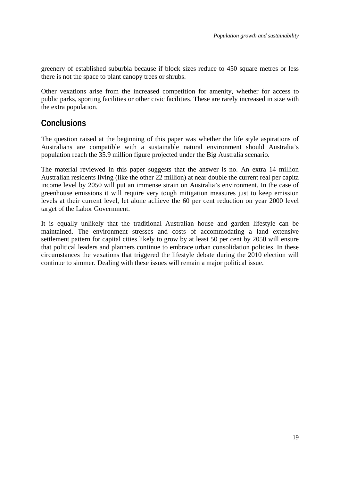<span id="page-20-0"></span>greenery of established suburbia because if block sizes reduce to 450 square metres or less there is not the space to plant canopy trees or shrubs.

Other vexations arise from the increased competition for amenity, whether for access to public parks, sporting facilities or other civic facilities. These are rarely increased in size with the extra population.

## **Conclusions**

The question raised at the beginning of this paper was whether the life style aspirations of Australians are compatible with a sustainable natural environment should Australia's population reach the 35.9 million figure projected under the Big Australia scenario.

The material reviewed in this paper suggests that the answer is no. An extra 14 million Australian residents living (like the other 22 million) at near double the current real per capita income level by 2050 will put an immense strain on Australia's environment. In the case of greenhouse emissions it will require very tough mitigation measures just to keep emission levels at their current level, let alone achieve the 60 per cent reduction on year 2000 level target of the Labor Government.

It is equally unlikely that the traditional Australian house and garden lifestyle can be maintained. The environment stresses and costs of accommodating a land extensive settlement pattern for capital cities likely to grow by at least 50 per cent by 2050 will ensure that political leaders and planners continue to embrace urban consolidation policies. In these circumstances the vexations that triggered the lifestyle debate during the 2010 election will continue to simmer. Dealing with these issues will remain a major political issue.